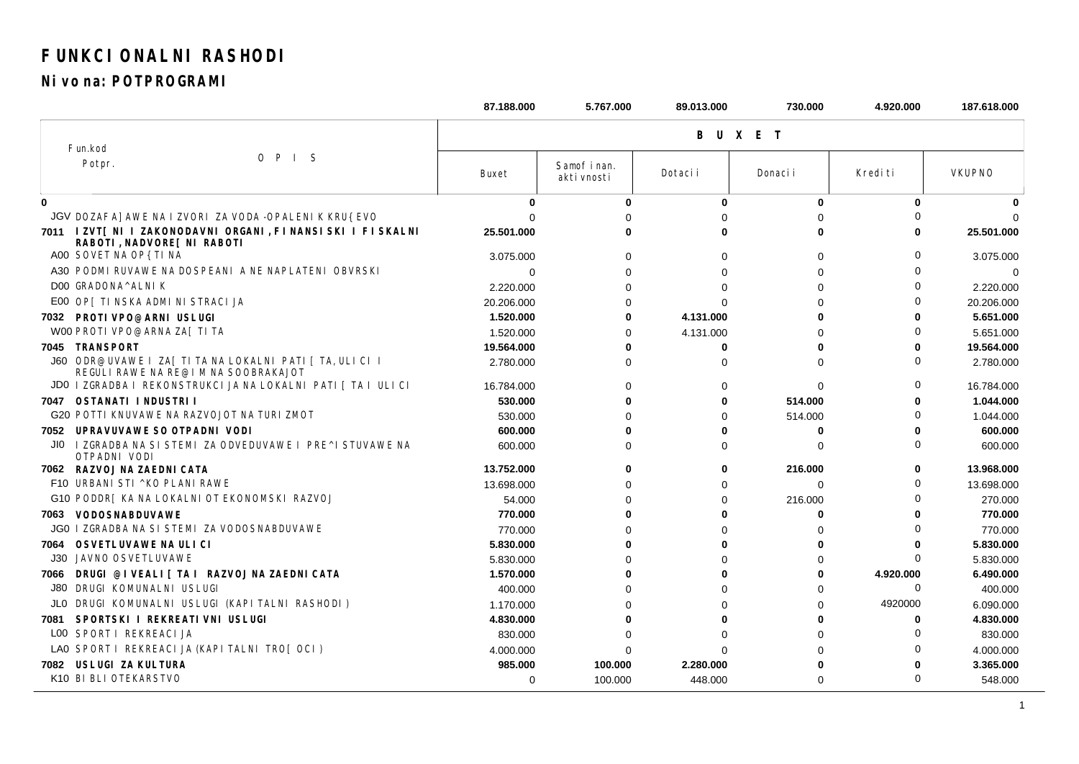## FUNKCI ONALNI RASHODI

Ni vo na: POTPROGRAMI

|             |                                                                                                   | 87.188.000   | 5.767.000                   | 89.013.000   | 730.000     | 4.920.000 | 187.618.000   |  |  |
|-------------|---------------------------------------------------------------------------------------------------|--------------|-----------------------------|--------------|-------------|-----------|---------------|--|--|
|             |                                                                                                   | <b>BUXET</b> |                             |              |             |           |               |  |  |
|             | Fun.kod                                                                                           |              |                             |              |             |           |               |  |  |
|             | $O$ $P$ $I$ $S$<br>Potpr.                                                                         | Buxet        | Samof i nan.<br>akti vnosti | Dotaci i     | Donaci i    | Kredi ti  | <b>VKUPNO</b> |  |  |
| $\mathbf 0$ |                                                                                                   | $\bf{0}$     | $\bf{0}$                    | $\mathbf{0}$ | $\bf{0}$    | $\Omega$  |               |  |  |
|             | JGV DOZAFA] AWE NA I ZVORI ZA VODA -OPALENI K KRU{ EVO                                            |              |                             |              | O           |           |               |  |  |
|             | 7011 I ZVT[ NI I ZAKONODAVNI ORGANI, FI NANSI SKI I FI SKALNI<br>RABOTI, NADVORE [ NI RABOTI      | 25.501.000   |                             | U            | ŋ           |           | 25.501.000    |  |  |
|             | A00 SOVET NA OP{ TI NA                                                                            | 3.075.000    | $\Omega$                    | $\Omega$     | $\Omega$    | ∩         | 3.075.000     |  |  |
|             | A30 PODMI RUVAWE NA DOSPEANI A NE NAPLATENI OBVRSKI                                               | 0            | 0                           | $\Omega$     | $\Omega$    | ∩         | 0             |  |  |
|             | DOO GRADONA^ALNIK                                                                                 | 2.220.000    | $\Omega$                    | $\Omega$     | $\Omega$    | ∩         | 2.220.000     |  |  |
|             | E00 OP [ TI NSKA ADMI NI STRACI JA                                                                | 20.206.000   |                             | $\Omega$     | ∩           | ∩         | 20.206.000    |  |  |
|             | 7032 PROTI VPO@ARNI USLUGI                                                                        | 1.520.000    | 0                           | 4.131.000    | U           | ŋ         | 5.651.000     |  |  |
|             | W00 PROTI VPO@ARNA ZA[ TI TA                                                                      | 1.520.000    | ∩                           | 4.131.000    | O           | ∩         | 5.651.000     |  |  |
|             | 7045 TRANSPORT                                                                                    | 19.564.000   | Λ                           | $\bf{0}$     | ŋ           | n         | 19.564.000    |  |  |
|             | J60 ODR@UVAWE I ZA [ TI TA NA LOKALNI PATI   TA, ULI CI I<br>REGULI RAWE NA RE@I M NA SOOBRAKAJOT | 2.780.000    | <sup>0</sup>                | $\Omega$     | $\Omega$    | ∩         | 2.780.000     |  |  |
|             | JD0   ZGRADBA   REKONSTRUKCI JA NA LOKALNI PATI   TA I ULI CI                                     | 16.784.000   | 0                           | 0            | 0           | $\Omega$  | 16.784.000    |  |  |
|             | 7047 OSTANATI I NDUSTRI I                                                                         | 530.000      |                             | 0            | 514.000     |           | 1.044.000     |  |  |
|             | <b>G20 POTTI KNUVAWE NA RAZVOJOT NA TURI ZMOT</b>                                                 | 530.000      |                             | $\Omega$     | 514.000     |           | 1.044.000     |  |  |
|             | 7052 UPRAVUVAWE SO OTPADNI VODI                                                                   | 600.000      |                             | U            | $\bf{0}$    |           | 600.000       |  |  |
| JIO.        | I ZGRADBA NA SI STEMI ZA ODVEDUVAWE I PRE^I STUVAWE NA<br>OTPADNI VODI                            | 600,000      | 0                           | 0            | 0           | ∩         | 600.000       |  |  |
|             | 7062 RAZVOJ NA ZAEDNI CATA                                                                        | 13.752.000   | 0                           | 0            | 216.000     | 0         | 13.968.000    |  |  |
|             | F10 URBANI STI ^KO PLANI RAWE                                                                     | 13.698.000   |                             | $\Omega$     | $\mathbf 0$ |           | 13.698.000    |  |  |
|             | G10 PODDR [ KA NA LOKALNI OT EKONOMSKI RAZVOJ                                                     | 54.000       |                             | $\Omega$     | 216.000     |           | 270.000       |  |  |
| 7063        | <b>VODOSNABDUVAWE</b>                                                                             | 770.000      |                             | U            | O           |           | 770.000       |  |  |
|             | <b>JG0   ZGRADBA NA SI STEMI ZA VODOSNABDUVAWE</b>                                                | 770.000      |                             | $\Omega$     | ∩           | ∩         | 770.000       |  |  |
| 7064        | OSVETLUVAWE NA ULI CI                                                                             | 5.830.000    |                             | U            | O           |           | 5.830.000     |  |  |
| J30         | <b>JAVNO OSVETLUVAWE</b>                                                                          | 5.830.000    |                             | $\Omega$     | $\Omega$    | $\Omega$  | 5.830.000     |  |  |
| 7066        | DRUGI @I VEALI [ TA I RAZVOJ NA ZAEDNI CATA                                                       | 1.570.000    |                             | U            | 0           | 4.920.000 | 6.490.000     |  |  |
| J80         | DRUGI KOMUNALNI USLUGI                                                                            | 400.000      |                             | $\Omega$     | $\Omega$    | $\Omega$  | 400.000       |  |  |
| JLO         | DRUGI KOMUNALNI USLUGI (KAPI TALNI RASHODI)                                                       | 1.170.000    |                             | $\Omega$     | $\Omega$    | 4920000   | 6.090.000     |  |  |
| 7081        | SPORTSKI I REKREATI VNI USLUGI                                                                    | 4.830.000    |                             | ŋ            |             | 0         | 4.830.000     |  |  |
|             | LOO SPORT I REKREACI JA                                                                           | 830.000      |                             |              | $\Omega$    |           | 830.000       |  |  |
|             | LAO SPORT I REKREACIJA (KAPITALNI TROJ OCI)                                                       | 4.000.000    |                             | <sup>0</sup> | $\Omega$    |           | 4.000.000     |  |  |
| 7082        | USLUGI ZA KULTURA                                                                                 | 985.000      | 100.000                     | 2.280.000    |             |           | 3.365.000     |  |  |
|             | K10 BI BLI OTEKARSTVO                                                                             | $\Omega$     | 100.000                     | 448.000      | $\Omega$    | $\Omega$  | 548.000       |  |  |